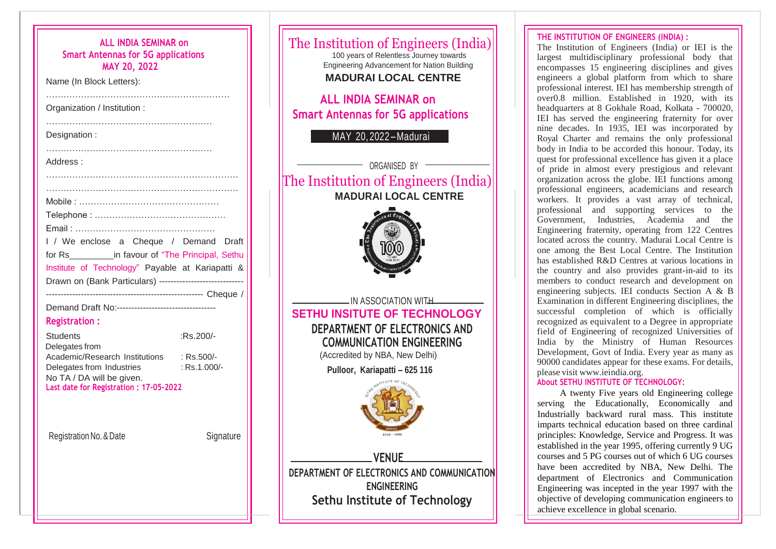| <b>ALL INDIA SEMINAR on</b><br><b>Smart Antennas for 5G applications</b><br><b>MAY 20, 2022</b><br>Name (In Block Letters):                                                                                     |              |
|-----------------------------------------------------------------------------------------------------------------------------------------------------------------------------------------------------------------|--------------|
| Organization / Institution :                                                                                                                                                                                    |              |
| Designation:                                                                                                                                                                                                    |              |
| Address:                                                                                                                                                                                                        |              |
| I / We enclose a Cheque / Demand Draft<br>for Rs_____________in favour of "The Principal, Sethu<br>Institute of Technology" Payable at Kariapatti &<br>Drawn on (Bank Particulars) ---------------------------- |              |
| Demand Draft No:----------------------------------<br><b>Registration:</b>                                                                                                                                      |              |
| <b>Students</b><br>Delegates from                                                                                                                                                                               | :Rs.200/-    |
| Academic/Research Institutions : Rs.500/-<br>Delegates from Industries<br>No TA / DA will be given.<br>Last date for Registration: 17-05-2022                                                                   | : Rs.1.000/- |
| Registration No. & Date                                                                                                                                                                                         | Signature    |
|                                                                                                                                                                                                                 |              |



The Institution of Engineers (India) or IEI is the largest multidisciplinary professional body that encompasses 15 engineering disciplines and gives engineers a global platform from which to share professional interest. IEI has membership strength of over0.8 million. Established in 1920, with its headquarters at 8 Gokhale Road, Kolkata - 700020, IEI has served the engineering fraternity for over nine decades. In 1935, IEI was incorporated by Royal Charter and remains the only professional body in India to be accorded this honour. Today, its quest for professional excellence has given it a place of pride in almost every prestigious and relevant organization across the globe. IEI functions among professional engineers, academicians and research workers. It provides a vast array of technical, professional and supporting services to the Government, Industries, Academia and the Engineering fraternity, operating from 122 Centres located across the country. Madurai Local Centre is one among the Best Local Centre. The Institution has established R&D Centres at various locations in the country and also provides grant-in-aid to its members to conduct research and development on engineering subjects. IEI conducts Section A & B Examination in different Engineering disciplines, the successful completion of which is officially recognized as equivalent to a Degree in appropriate field of Engineering of recognized Universities of India by the Ministry of Human Resources Development, Govt of India. Every year as many as 90000 candidates appear for these exams. For details, please visit [www.ieindia.org.](http://www.ieindia.org/)

## **About SETHU INSTITUTE OF TECHNOLOGY:**

A twenty Five years old Engineering college serving the Educationally, Economically and Industrially backward rural mass. This institute imparts technical education based on three cardinal principles: Knowledge, Service and Progress. It was established in the year 1995, offering currently 9 UG courses and 5 PG courses out of which 6 UG courses have been accredited by NBA, New Delhi. The department of Electronics and Communication Engineering was incepted in the year 1997 with the objective of developing communication engineers to achieve excellence in global scenario.